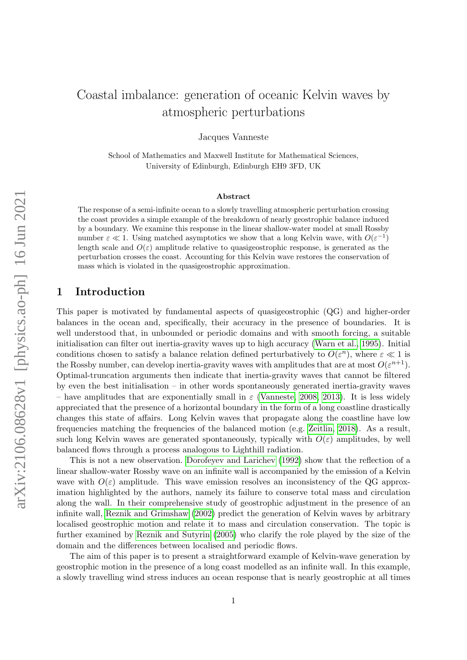# Coastal imbalance: generation of oceanic Kelvin waves by atmospheric perturbations

Jacques Vanneste

School of Mathematics and Maxwell Institute for Mathematical Sciences, University of Edinburgh, Edinburgh EH9 3FD, UK

#### Abstract

The response of a semi-infinite ocean to a slowly travelling atmospheric perturbation crossing the coast provides a simple example of the breakdown of nearly geostrophic balance induced by a boundary. We examine this response in the linear shallow-water model at small Rossby number  $\varepsilon \ll 1$ . Using matched asymptotics we show that a long Kelvin wave, with  $O(\varepsilon^{-1})$ length scale and  $O(\varepsilon)$  amplitude relative to quasigeostrophic response, is generated as the perturbation crosses the coast. Accounting for this Kelvin wave restores the conservation of mass which is violated in the quasigeostrophic approximation.

# 1 Introduction

This paper is motivated by fundamental aspects of quasigeostrophic (QG) and higher-order balances in the ocean and, specifically, their accuracy in the presence of boundaries. It is well understood that, in unbounded or periodic domains and with smooth forcing, a suitable initialisation can filter out inertia-gravity waves up to high accuracy [\(Warn et al., 1995\)](#page-8-0). Initial conditions chosen to satisfy a balance relation defined perturbatively to  $O(\varepsilon^n)$ , where  $\varepsilon \ll 1$  is the Rossby number, can develop inertia-gravity waves with amplitudes that are at most  $O(\varepsilon^{n+1})$ . Optimal-truncation arguments then indicate that inertia-gravity waves that cannot be filtered by even the best initialisation – in other words spontaneously generated inertia-gravity waves – have amplitudes that are exponentially small in  $\varepsilon$  [\(Vanneste, 2008,](#page-8-1) [2013\)](#page-8-2). It is less widely appreciated that the presence of a horizontal boundary in the form of a long coastline drastically changes this state of affairs. Long Kelvin waves that propagate along the coastline have low frequencies matching the frequencies of the balanced motion (e.g. [Zeitlin, 2018\)](#page-8-3). As a result, such long Kelvin waves are generated spontaneously, typically with  $O(\varepsilon)$  amplitudes, by well balanced flows through a process analogous to Lighthill radiation.

This is not a new observation. [Dorofeyev and Larichev](#page-9-0) [\(1992\)](#page-9-0) show that the reflection of a linear shallow-water Rossby wave on an infinite wall is accompanied by the emission of a Kelvin wave with  $O(\varepsilon)$  amplitude. This wave emission resolves an inconsistency of the QG approximation highlighted by the authors, namely its failure to conserve total mass and circulation along the wall. In their comprehensive study of geostrophic adjustment in the presence of an infinite wall, [Reznik and Grimshaw](#page-9-1) [\(2002\)](#page-9-1) predict the generation of Kelvin waves by arbitrary localised geostrophic motion and relate it to mass and circulation conservation. The topic is further examined by [Reznik and Sutyrin](#page-9-2) [\(2005\)](#page-9-2) who clarify the role played by the size of the domain and the differences between localised and periodic flows.

The aim of this paper is to present a straightforward example of Kelvin-wave generation by geostrophic motion in the presence of a long coast modelled as an infinite wall. In this example, a slowly travelling wind stress induces an ocean response that is nearly geostrophic at all times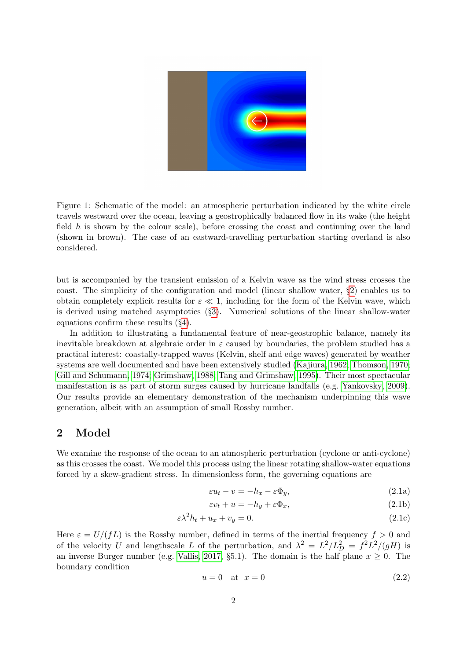

Figure 1: Schematic of the model: an atmospheric perturbation indicated by the white circle travels westward over the ocean, leaving a geostrophically balanced flow in its wake (the height field  $h$  is shown by the colour scale), before crossing the coast and continuing over the land (shown in brown). The case of an eastward-travelling perturbation starting overland is also considered.

<span id="page-1-1"></span>but is accompanied by the transient emission of a Kelvin wave as the wind stress crosses the coast. The simplicity of the configuration and model (linear shallow water, §[2\)](#page-1-0) enables us to obtain completely explicit results for  $\varepsilon \ll 1$ , including for the form of the Kelvin wave, which is derived using matched asymptotics (§[3\)](#page-2-0). Numerical solutions of the linear shallow-water equations confirm these results (§[4\)](#page-4-0).

In addition to illustrating a fundamental feature of near-geostrophic balance, namely its inevitable breakdown at algebraic order in  $\varepsilon$  caused by boundaries, the problem studied has a practical interest: coastally-trapped waves (Kelvin, shelf and edge waves) generated by weather systems are well documented and have been extensively studied [\(Kajiura, 1962;](#page-9-3) [Thomson, 1970;](#page-9-4) [Gill and Schumann, 1974;](#page-9-5) [Grimshaw, 1988;](#page-9-6) [Tang and Grimshaw, 1995\)](#page-9-7). Their most spectacular manifestation is as part of storm surges caused by hurricane landfalls (e.g. [Yankovsky, 2009\)](#page-9-8). Our results provide an elementary demonstration of the mechanism underpinning this wave generation, albeit with an assumption of small Rossby number.

#### <span id="page-1-0"></span>2 Model

We examine the response of the ocean to an atmospheric perturbation (cyclone or anti-cyclone) as this crosses the coast. We model this process using the linear rotating shallow-water equations forced by a skew-gradient stress. In dimensionless form, the governing equations are

<span id="page-1-6"></span><span id="page-1-4"></span><span id="page-1-3"></span><span id="page-1-2"></span>
$$
\varepsilon u_t - v = -h_x - \varepsilon \Phi_y,\tag{2.1a}
$$

$$
\varepsilon v_t + u = -h_y + \varepsilon \Phi_x,\tag{2.1b}
$$

$$
\varepsilon \lambda^2 h_t + u_x + v_y = 0. \tag{2.1c}
$$

Here  $\varepsilon = U/(fL)$  is the Rossby number, defined in terms of the inertial frequency  $f > 0$  and of the velocity U and lengthscale L of the perturbation, and  $\lambda^2 = L^2/L_D^2 = f^2 L^2/(gH)$  is an inverse Burger number (e.g. [Vallis, 2017,](#page-9-9) §5.1). The domain is the half plane  $x \geq 0$ . The boundary condition

<span id="page-1-5"></span>
$$
u = 0 \quad \text{at} \quad x = 0 \tag{2.2}
$$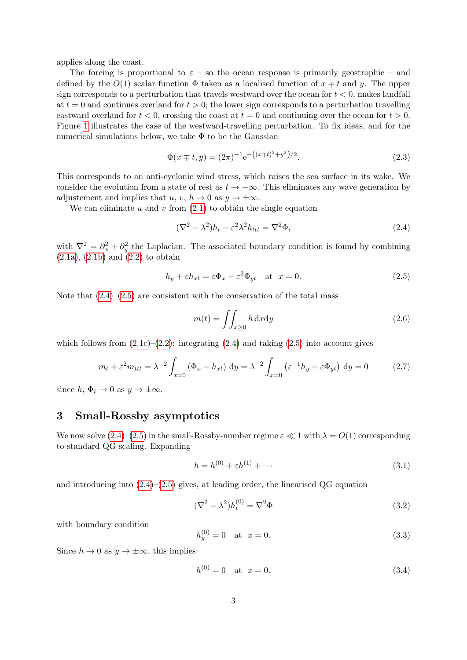applies along the coast.

The forcing is proportional to  $\varepsilon$  – so the ocean response is primarily geostrophic – and defined by the  $O(1)$  scalar function  $\Phi$  taken as a localised function of  $x \mp t$  and y. The upper sign corresponds to a perturbation that travels westward over the ocean for  $t < 0$ , makes landfall at  $t = 0$  and continues overland for  $t > 0$ ; the lower sign corresponds to a perturbation travelling eastward overland for  $t < 0$ , crossing the coast at  $t = 0$  and continuing over the ocean for  $t > 0$ . Figure [1](#page-1-1) illustrates the case of the westward-travelling perturbation. To fix ideas, and for the numerical simulations below, we take  $\Phi$  to be the Gaussian

<span id="page-2-6"></span>
$$
\Phi(x \mp t, y) = (2\pi)^{-1} e^{-\left((x \mp t)^2 + y^2\right)/2}.
$$
\n(2.3)

This corresponds to an anti-cyclonic wind stress, which raises the sea surface in its wake. We consider the evolution from a state of rest as  $t \to -\infty$ . This eliminates any wave generation by adjustement and implies that u, v,  $h \to 0$  as  $y \to \pm \infty$ .

We can eliminate u and v from  $(2.1)$  to obtain the single equation

<span id="page-2-1"></span>
$$
(\nabla^2 - \lambda^2)h_t - \varepsilon^2 \lambda^2 h_{ttt} = \nabla^2 \Phi,
$$
\n(2.4)

with  $\nabla^2 = \partial_x^2 + \partial_y^2$  the Laplacian. The associated boundary condition is found by combining  $(2.1a)$ ,  $(2.1b)$  and  $(2.2)$  to obtain

<span id="page-2-2"></span>
$$
h_y + \varepsilon h_{xt} = \varepsilon \Phi_x - \varepsilon^2 \Phi_{yt} \quad \text{at} \quad x = 0. \tag{2.5}
$$

Note that  $(2.4)$ – $(2.5)$  are consistent with the conservation of the total mass

$$
m(t) = \iint_{x \ge 0} h \, \mathrm{d}x \mathrm{d}y \tag{2.6}
$$

which follows from  $(2.1c)-(2.2)$  $(2.1c)-(2.2)$  $(2.1c)-(2.2)$ : integrating  $(2.4)$  and taking  $(2.5)$  into account gives

$$
m_t + \varepsilon^2 m_{ttt} = \lambda^{-2} \int_{x=0} (\Phi_x - h_{xt}) dy = \lambda^{-2} \int_{x=0} (\varepsilon^{-1} h_y + \varepsilon \Phi_{yt}) dy = 0
$$
 (2.7)

since  $h, \Phi_t \to 0$  as  $y \to \pm \infty$ .

# <span id="page-2-0"></span>3 Small-Rossby asymptotics

We now solve  $(2.4)$ – $(2.5)$  in the small-Rossby-number regime  $\varepsilon \ll 1$  with  $\lambda = O(1)$  corresponding to standard QG scaling. Expanding

$$
h = h^{(0)} + \varepsilon h^{(1)} + \cdots \tag{3.1}
$$

and introducing into  $(2.4)$ – $(2.5)$  gives, at leading order, the linearised QG equation

<span id="page-2-3"></span>
$$
(\nabla^2 - \lambda^2)h_t^{(0)} = \nabla^2 \Phi \tag{3.2}
$$

with boundary condition

<span id="page-2-5"></span>
$$
h_y^{(0)} = 0 \quad \text{at} \quad x = 0. \tag{3.3}
$$

Since  $h \to 0$  as  $y \to \pm \infty$ , this implies

<span id="page-2-4"></span>
$$
h^{(0)} = 0 \quad \text{at} \quad x = 0. \tag{3.4}
$$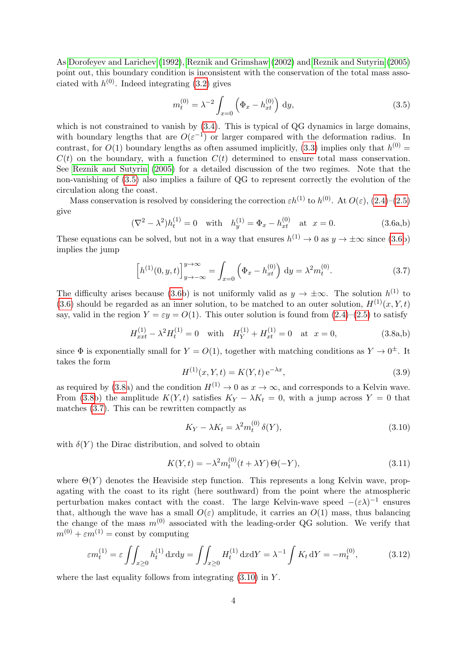As [Dorofeyev and Larichev](#page-9-0) [\(1992\)](#page-9-0), [Reznik and Grimshaw](#page-9-1) [\(2002\)](#page-9-1) and [Reznik and Sutyrin](#page-9-2) [\(2005\)](#page-9-2) point out, this boundary condition is inconsistent with the conservation of the total mass associated with  $h^{(0)}$ . Indeed integrating [\(3.2\)](#page-2-3) gives

<span id="page-3-0"></span>
$$
m_t^{(0)} = \lambda^{-2} \int_{x=0} \left( \Phi_x - h_{xt}^{(0)} \right) dy,
$$
\n(3.5)

which is not constrained to vanish by  $(3.4)$ . This is typical of QG dynamics in large domains, with boundary lengths that are  $O(\varepsilon^{-1})$  or larger compared with the deformation radius. In contrast, for  $O(1)$  boundary lengths as often assumed implicitly, [\(3.3\)](#page-2-5) implies only that  $h^{(0)} =$  $C(t)$  on the boundary, with a function  $C(t)$  determined to ensure total mass conservation. See [Reznik and Sutyrin](#page-9-2) [\(2005\)](#page-9-2) for a detailed discussion of the two regimes. Note that the non-vanishing of [\(3.5\)](#page-3-0) also implies a failure of QG to represent correctly the evolution of the circulation along the coast.

<span id="page-3-1"></span>Mass conservation is resolved by considering the correction  $\varepsilon h^{(1)}$  to  $h^{(0)}$ . At  $O(\varepsilon)$ ,  $(2.4)$ – $(2.5)$ give

$$
(\nabla^2 - \lambda^2)h_t^{(1)} = 0 \quad \text{with} \quad h_y^{(1)} = \Phi_x - h_{xt}^{(0)} \quad \text{at } x = 0. \tag{3.6a,b}
$$

These equations can be solved, but not in a way that ensures  $h^{(1)} \to 0$  as  $y \to \pm \infty$  since [\(3.6b](#page-3-1)) implies the jump

<span id="page-3-3"></span>
$$
\[h^{(1)}(0,y,t)\]_{y\to-\infty}^{y\to\infty} = \int_{x=0} \left(\Phi_x - h_{xt}^{(0)}\right) \, \mathrm{d}y = \lambda^2 m_t^{(0)}.\tag{3.7}
$$

The difficulty arises because [\(3.6b](#page-3-1)) is not uniformly valid as  $y \to \pm \infty$ . The solution  $h^{(1)}$  to [\(3.6\)](#page-3-1) should be regarded as an inner solution, to be matched to an outer solution,  $H^{(1)}(x, Y, t)$ say, valid in the region  $Y = \varepsilon y = O(1)$ . This outer solution is found from  $(2.4)$ – $(2.5)$  to satisfy

$$
H_{xxt}^{(1)} - \lambda^2 H_t^{(1)} = 0 \quad \text{with} \quad H_Y^{(1)} + H_{xt}^{(1)} = 0 \quad \text{at} \quad x = 0,
$$
 (3.8a,b)

since  $\Phi$  is exponentially small for  $Y = O(1)$ , together with matching conditions as  $Y \to 0^{\pm}$ . It takes the form

<span id="page-3-2"></span>
$$
H^{(1)}(x, Y, t) = K(Y, t) e^{-\lambda x},
$$
\n(3.9)

as required by [\(3.8a](#page-3-2)) and the condition  $H^{(1)} \to 0$  as  $x \to \infty$ , and corresponds to a Kelvin wave. From [\(3.8b](#page-3-2)) the amplitude  $K(Y,t)$  satisfies  $K_Y - \lambda K_t = 0$ , with a jump across  $Y = 0$  that matches [\(3.7\)](#page-3-3). This can be rewritten compactly as

<span id="page-3-4"></span>
$$
K_Y - \lambda K_t = \lambda^2 m_t^{(0)} \delta(Y),\tag{3.10}
$$

with  $\delta(Y)$  the Dirac distribution, and solved to obtain

<span id="page-3-5"></span>
$$
K(Y,t) = -\lambda^2 m_t^{(0)}(t + \lambda Y) \Theta(-Y),
$$
\n(3.11)

where  $\Theta(Y)$  denotes the Heaviside step function. This represents a long Kelvin wave, propagating with the coast to its right (here southward) from the point where the atmospheric perturbation makes contact with the coast. The large Kelvin-wave speed  $-(\epsilon \lambda)^{-1}$  ensures that, although the wave has a small  $O(\varepsilon)$  amplitude, it carries an  $O(1)$  mass, thus balancing the change of the mass  $m^{(0)}$  associated with the leading-order QG solution. We verify that  $m^{(0)} + \varepsilon m^{(1)} = \text{const}$  by computing

$$
\varepsilon m_t^{(1)} = \varepsilon \iint_{x \ge 0} h_t^{(1)} \, dx dy = \iint_{x \ge 0} H_t^{(1)} \, dx dy = \lambda^{-1} \int K_t \, dY = -m_t^{(0)},\tag{3.12}
$$

where the last equality follows from integrating  $(3.10)$  in Y.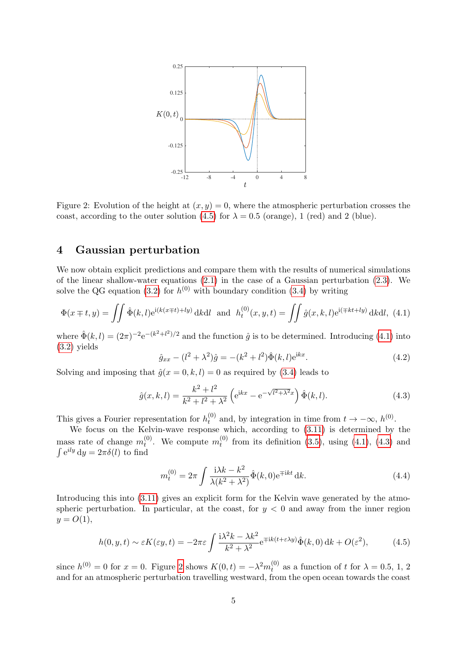

<span id="page-4-4"></span>Figure 2: Evolution of the height at  $(x, y) = 0$ , where the atmospheric perturbation crosses the coast, according to the outer solution [\(4.5\)](#page-4-1) for  $\lambda = 0.5$  (orange), 1 (red) and 2 (blue).

#### <span id="page-4-0"></span>4 Gaussian perturbation

We now obtain explicit predictions and compare them with the results of numerical simulations of the linear shallow-water equations  $(2.1)$  in the case of a Gaussian perturbation  $(2.3)$ . We solve the QG equation [\(3.2\)](#page-2-3) for  $h^{(0)}$  with boundary condition [\(3.4\)](#page-2-4) by writing

<span id="page-4-2"></span>
$$
\Phi(x \mp t, y) = \iint \hat{\Phi}(k, l) e^{i(k(x \mp t) + ly)} dk dl \text{ and } h_t^{(0)}(x, y, t) = \iint \hat{g}(x, k, l) e^{i(\mp kt + ly)} dk dl, (4.1)
$$

where  $\hat{\Phi}(k,l) = (2\pi)^{-2} e^{-(k^2 + l^2)/2}$  and the function  $\hat{g}$  is to be determined. Introducing [\(4.1\)](#page-4-2) into [\(3.2\)](#page-2-3) yields

$$
\hat{g}_{xx} - (l^2 + \lambda^2)\hat{g} = -(k^2 + l^2)\hat{\Phi}(k, l)e^{ikx}.
$$
\n(4.2)

Solving and imposing that  $\hat{g}(x=0,k,l)=0$  as required by [\(3.4\)](#page-2-4) leads to

<span id="page-4-3"></span>
$$
\hat{g}(x,k,l) = \frac{k^2 + l^2}{k^2 + l^2 + \lambda^2} \left( e^{ikx} - e^{-\sqrt{l^2 + \lambda^2}x} \right) \hat{\Phi}(k,l). \tag{4.3}
$$

This gives a Fourier representation for  $h_t^{(0)}$  $t_t^{(0)}$  and, by integration in time from  $t \to -\infty$ ,  $h^{(0)}$ .

We focus on the Kelvin-wave response which, according to [\(3.11\)](#page-3-5) is determined by the mass rate of change  $m_t^{(0)}$  $t_t^{(0)}$ . We compute  $m_t^{(0)}$  $t_t^{(0)}$  from its definition [\(3.5\)](#page-3-0), using [\(4.1\)](#page-4-2), [\(4.3\)](#page-4-3) and  $\int e^{ily} dy = 2\pi \delta(l)$  to find

<span id="page-4-5"></span>
$$
m_t^{(0)} = 2\pi \int \frac{i\lambda k - k^2}{\lambda (k^2 + \lambda^2)} \hat{\Phi}(k, 0) e^{\mp ikt} dk.
$$
 (4.4)

Introducing this into [\(3.11\)](#page-3-5) gives an explicit form for the Kelvin wave generated by the atmospheric perturbation. In particular, at the coast, for  $y < 0$  and away from the inner region  $y = O(1),$ 

<span id="page-4-1"></span>
$$
h(0, y, t) \sim \varepsilon K(\varepsilon y, t) = -2\pi\varepsilon \int \frac{i\lambda^2 k - \lambda k^2}{k^2 + \lambda^2} e^{\mp ik(t + \varepsilon \lambda y)} \hat{\Phi}(k, 0) \, \mathrm{d}k + O(\varepsilon^2),\tag{4.5}
$$

since  $h^{(0)} = 0$  for  $x = 0$ . Figure [2](#page-4-4) shows  $K(0, t) = -\lambda^2 m_t^{(0)}$  $t_t^{(0)}$  as a function of t for  $\lambda = 0.5, 1, 2$ and for an atmospheric perturbation travelling westward, from the open ocean towards the coast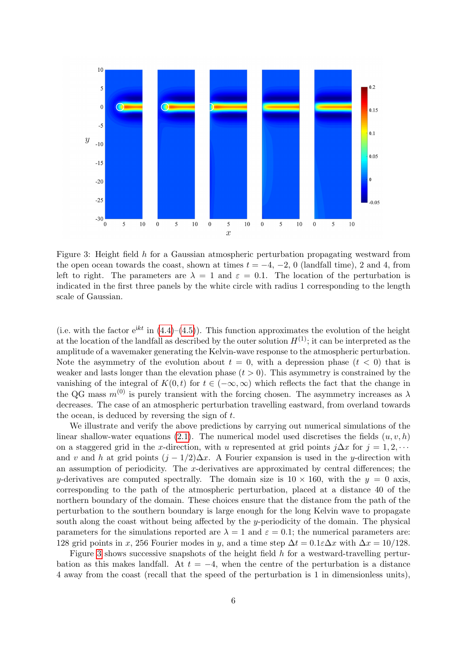

<span id="page-5-0"></span>Figure 3: Height field h for a Gaussian atmospheric perturbation propagating westward from the open ocean towards the coast, shown at times  $t = -4, -2, 0$  (landfall time), 2 and 4, from left to right. The parameters are  $\lambda = 1$  and  $\varepsilon = 0.1$ . The location of the perturbation is indicated in the first three panels by the white circle with radius 1 corresponding to the length scale of Gaussian.

(i.e. with the factor  $e^{ikt}$  in  $(4.4)$ – $(4.5)$ ). This function approximates the evolution of the height at the location of the landfall as described by the outer solution  $H^{(1)}$ ; it can be interpreted as the amplitude of a wavemaker generating the Kelvin-wave response to the atmospheric perturbation. Note the asymmetry of the evolution about  $t = 0$ , with a depression phase  $(t < 0)$  that is weaker and lasts longer than the elevation phase  $(t > 0)$ . This asymmetry is constrained by the vanishing of the integral of  $K(0, t)$  for  $t \in (-\infty, \infty)$  which reflects the fact that the change in the QG mass  $m^{(0)}$  is purely transient with the forcing chosen. The asymmetry increases as  $\lambda$ decreases. The case of an atmospheric perturbation travelling eastward, from overland towards the ocean, is deduced by reversing the sign of  $t$ .

We illustrate and verify the above predictions by carrying out numerical simulations of the linear shallow-water equations [\(2.1\)](#page-1-2). The numerical model used discretises the fields  $(u, v, h)$ on a staggered grid in the x-direction, with u represented at grid points  $j\Delta x$  for  $j = 1, 2, \cdots$ and v and h at grid points  $(j - 1/2)\Delta x$ . A Fourier expansion is used in the y-direction with an assumption of periodicity. The x-derivatives are approximated by central differences; the y-derivatives are computed spectrally. The domain size is  $10 \times 160$ , with the  $y = 0$  axis, corresponding to the path of the atmospheric perturbation, placed at a distance 40 of the northern boundary of the domain. These choices ensure that the distance from the path of the perturbation to the southern boundary is large enough for the long Kelvin wave to propagate south along the coast without being affected by the y-periodicity of the domain. The physical parameters for the simulations reported are  $\lambda = 1$  and  $\varepsilon = 0.1$ ; the numerical parameters are: 128 grid points in x, 256 Fourier modes in y, and a time step  $\Delta t = 0.1 \varepsilon \Delta x$  with  $\Delta x = 10/128$ .

Figure [3](#page-5-0) shows successive snapshots of the height field  $h$  for a westward-travelling perturbation as this makes landfall. At  $t = -4$ , when the centre of the perturbation is a distance 4 away from the coast (recall that the speed of the perturbation is 1 in dimensionless units),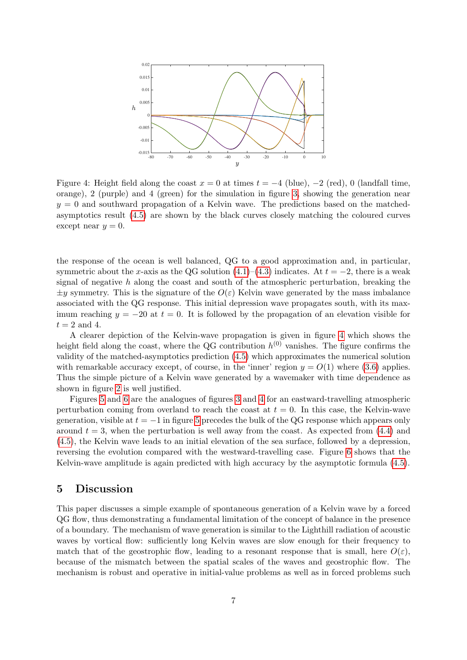

<span id="page-6-0"></span>Figure 4: Height field along the coast  $x = 0$  at times  $t = -4$  (blue),  $-2$  (red), 0 (landfall time, orange), 2 (purple) and 4 (green) for the simulation in figure [3,](#page-5-0) showing the generation near  $y = 0$  and southward propagation of a Kelvin wave. The predictions based on the matchedasymptotics result [\(4.5\)](#page-4-1) are shown by the black curves closely matching the coloured curves except near  $y = 0$ .

the response of the ocean is well balanced, QG to a good approximation and, in particular, symmetric about the x-axis as the QG solution  $(4.1)–(4.3)$  $(4.1)–(4.3)$  $(4.1)–(4.3)$  indicates. At  $t = -2$ , there is a weak signal of negative  $h$  along the coast and south of the atmospheric perturbation, breaking the  $\pm y$  symmetry. This is the signature of the  $O(\varepsilon)$  Kelvin wave generated by the mass imbalance associated with the QG response. This initial depression wave propagates south, with its maximum reaching  $y = -20$  at  $t = 0$ . It is followed by the propagation of an elevation visible for  $t = 2$  and 4.

A clearer depiction of the Kelvin-wave propagation is given in figure [4](#page-6-0) which shows the height field along the coast, where the QG contribution  $h^{(0)}$  vanishes. The figure confirms the validity of the matched-asymptotics prediction [\(4.5\)](#page-4-1) which approximates the numerical solution with remarkable accuracy except, of course, in the 'inner' region  $y = O(1)$  where [\(3.6\)](#page-3-1) applies. Thus the simple picture of a Kelvin wave generated by a wavemaker with time dependence as shown in figure [2](#page-4-4) is well justified.

Figures [5](#page-7-0) and [6](#page-7-1) are the analogues of figures [3](#page-5-0) and [4](#page-6-0) for an eastward-travelling atmospheric perturbation coming from overland to reach the coast at  $t = 0$ . In this case, the Kelvin-wave generation, visible at  $t = -1$  in figure [5](#page-7-0) precedes the bulk of the QG response which appears only around  $t = 3$ , when the perturbation is well away from the coast. As expected from  $(4.4)$  and [\(4.5\)](#page-4-1), the Kelvin wave leads to an initial elevation of the sea surface, followed by a depression, reversing the evolution compared with the westward-travelling case. Figure [6](#page-7-1) shows that the Kelvin-wave amplitude is again predicted with high accuracy by the asymptotic formula [\(4.5\)](#page-4-1).

#### 5 Discussion

This paper discusses a simple example of spontaneous generation of a Kelvin wave by a forced QG flow, thus demonstrating a fundamental limitation of the concept of balance in the presence of a boundary. The mechanism of wave generation is similar to the Lighthill radiation of acoustic waves by vortical flow: sufficiently long Kelvin waves are slow enough for their frequency to match that of the geostrophic flow, leading to a resonant response that is small, here  $O(\varepsilon)$ , because of the mismatch between the spatial scales of the waves and geostrophic flow. The mechanism is robust and operative in initial-value problems as well as in forced problems such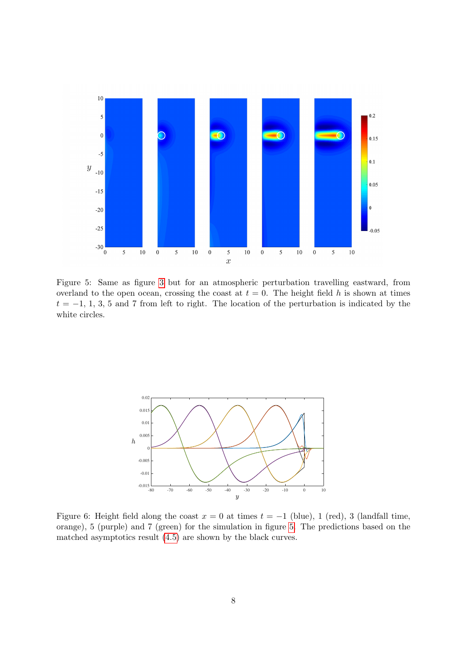

<span id="page-7-0"></span>Figure 5: Same as figure [3](#page-5-0) but for an atmospheric perturbation travelling eastward, from overland to the open ocean, crossing the coast at  $t = 0$ . The height field h is shown at times  $t = -1, 1, 3, 5$  and 7 from left to right. The location of the perturbation is indicated by the white circles.



<span id="page-7-1"></span>Figure 6: Height field along the coast  $x = 0$  at times  $t = -1$  (blue), 1 (red), 3 (landfall time, orange), 5 (purple) and 7 (green) for the simulation in figure [5.](#page-7-0) The predictions based on the matched asymptotics result [\(4.5\)](#page-4-1) are shown by the black curves.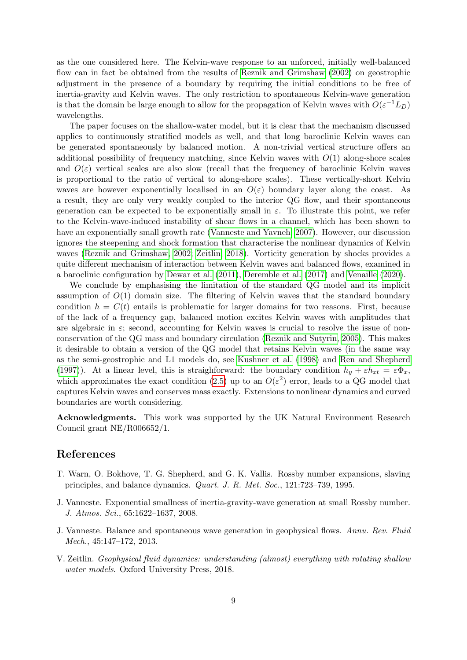as the one considered here. The Kelvin-wave response to an unforced, initially well-balanced flow can in fact be obtained from the results of [Reznik and Grimshaw](#page-9-1) [\(2002\)](#page-9-1) on geostrophic adjustment in the presence of a boundary by requiring the initial conditions to be free of inertia-gravity and Kelvin waves. The only restriction to spontaneous Kelvin-wave generation is that the domain be large enough to allow for the propagation of Kelvin waves with  $O(\varepsilon^{-1}L_D)$ wavelengths.

The paper focuses on the shallow-water model, but it is clear that the mechanism discussed applies to continuously stratified models as well, and that long baroclinic Kelvin waves can be generated spontaneously by balanced motion. A non-trivial vertical structure offers an additional possibility of frequency matching, since Kelvin waves with  $O(1)$  along-shore scales and  $O(\varepsilon)$  vertical scales are also slow (recall that the frequency of baroclinic Kelvin waves is proportional to the ratio of vertical to along-shore scales). These vertically-short Kelvin waves are however exponentially localised in an  $O(\varepsilon)$  boundary layer along the coast. As a result, they are only very weakly coupled to the interior QG flow, and their spontaneous generation can be expected to be exponentially small in  $\varepsilon$ . To illustrate this point, we refer to the Kelvin-wave-induced instability of shear flows in a channel, which has been shown to have an exponentially small growth rate [\(Vanneste and Yavneh, 2007\)](#page-9-10). However, our discussion ignores the steepening and shock formation that characterise the nonlinear dynamics of Kelvin waves [\(Reznik and Grimshaw, 2002;](#page-9-1) [Zeitlin, 2018\)](#page-8-3). Vorticity generation by shocks provides a quite different mechanism of interaction between Kelvin waves and balanced flows, examined in a baroclinic configuration by [Dewar et al.](#page-9-11) [\(2011\)](#page-9-11), [Deremble et al.](#page-9-12) [\(2017\)](#page-9-12) and [Venaille](#page-9-13) [\(2020\)](#page-9-13).

We conclude by emphasising the limitation of the standard QG model and its implicit assumption of  $O(1)$  domain size. The filtering of Kelvin waves that the standard boundary condition  $h = C(t)$  entails is problematic for larger domains for two reasons. First, because of the lack of a frequency gap, balanced motion excites Kelvin waves with amplitudes that are algebraic in  $\varepsilon$ ; second, accounting for Kelvin waves is crucial to resolve the issue of nonconservation of the QG mass and boundary circulation [\(Reznik and Sutyrin, 2005\)](#page-9-2). This makes it desirable to obtain a version of the QG model that retains Kelvin waves (in the same way as the semi-geostrophic and L1 models do, see [Kushner et al.](#page-9-14) [\(1998\)](#page-9-14) and [Ren and Shepherd](#page-9-15) [\(1997\)](#page-9-15)). At a linear level, this is straighforward: the boundary condition  $h_y + \varepsilon h_{xt} = \varepsilon \Phi_x$ , which approximates the exact condition [\(2.5\)](#page-2-2) up to an  $O(\varepsilon^2)$  error, leads to a QG model that captures Kelvin waves and conserves mass exactly. Extensions to nonlinear dynamics and curved boundaries are worth considering.

Acknowledgments. This work was supported by the UK Natural Environment Research Council grant NE/R006652/1.

## References

- <span id="page-8-0"></span>T. Warn, O. Bokhove, T. G. Shepherd, and G. K. Vallis. Rossby number expansions, slaving principles, and balance dynamics. Quart. J. R. Met. Soc., 121:723–739, 1995.
- <span id="page-8-1"></span>J. Vanneste. Exponential smallness of inertia-gravity-wave generation at small Rossby number. J. Atmos. Sci., 65:1622–1637, 2008.
- <span id="page-8-2"></span>J. Vanneste. Balance and spontaneous wave generation in geophysical flows. Annu. Rev. Fluid Mech., 45:147–172, 2013.
- <span id="page-8-3"></span>V. Zeitlin. Geophysical fluid dynamics: understanding (almost) everything with rotating shallow water models. Oxford University Press, 2018.